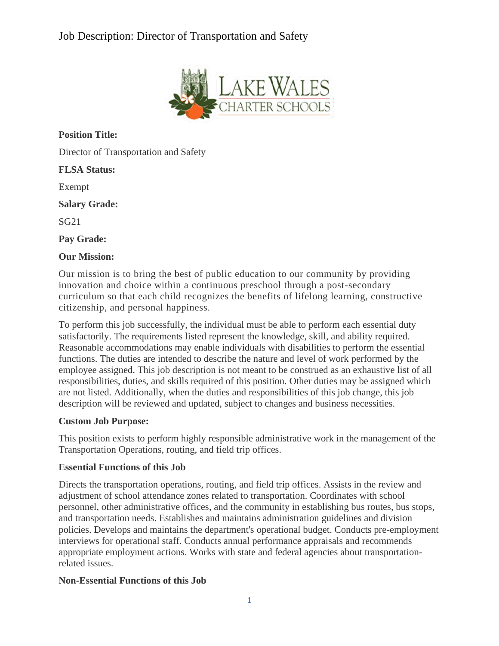# Job Description: Director of Transportation and Safety



**Position Title:**

Director of Transportation and Safety

**FLSA Status:**

Exempt

**Salary Grade:**

SG21

**Pay Grade:**

#### **Our Mission:**

Our mission is to bring the best of public education to our community by providing innovation and choice within a continuous preschool through a post-secondary curriculum so that each child recognizes the benefits of lifelong learning, constructive citizenship, and personal happiness.

To perform this job successfully, the individual must be able to perform each essential duty satisfactorily. The requirements listed represent the knowledge, skill, and ability required. Reasonable accommodations may enable individuals with disabilities to perform the essential functions. The duties are intended to describe the nature and level of work performed by the employee assigned. This job description is not meant to be construed as an exhaustive list of all responsibilities, duties, and skills required of this position. Other duties may be assigned which are not listed. Additionally, when the duties and responsibilities of this job change, this job description will be reviewed and updated, subject to changes and business necessities.

## **Custom Job Purpose:**

This position exists to perform highly responsible administrative work in the management of the Transportation Operations, routing, and field trip offices.

#### **Essential Functions of this Job**

Directs the transportation operations, routing, and field trip offices. Assists in the review and adjustment of school attendance zones related to transportation. Coordinates with school personnel, other administrative offices, and the community in establishing bus routes, bus stops, and transportation needs. Establishes and maintains administration guidelines and division policies. Develops and maintains the department's operational budget. Conducts pre-employment interviews for operational staff. Conducts annual performance appraisals and recommends appropriate employment actions. Works with state and federal agencies about transportationrelated issues.

## **Non-Essential Functions of this Job**